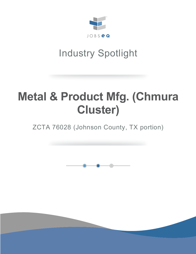

# Industry Spotlight

# **Metal & Product Mfg. (Chmura Cluster)**

ZCTA 76028 (Johnson County, TX portion)

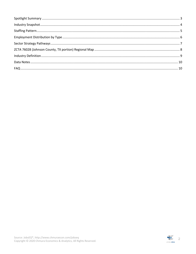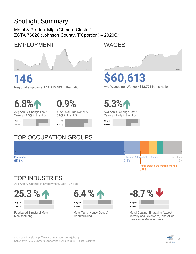#### **Spotlight Summary**

Metal & Product Mfg. (Chmura Cluster) ZCTA 76028 (Johnson County, TX portion) - 2020Q1

#### **EMPLOYMENT**



## 46

Regional employment / 1,213,485 in the nation

## $6.8%$

Production

65.1%

 $0.9\%$ 

Avg Ann % Change Last 10 Years / +1.3% in the U.S.

| Region        |  |  |
|---------------|--|--|
| <b>Nation</b> |  |  |

% of Total Employment /  $0.8\%$  in the U.S.

| Region |  |
|--------|--|
| Nation |  |

### **TOP OCCUPATION GROUPS**



# \$60,613

Avg Wages per Worker / \$62,703 in the nation



Avg Ann % Change Last 10 Years / +2.4% in the U.S.

| Region |  |  |
|--------|--|--|
| Nation |  |  |

#### Office and Administrative Support All Others 9.5% 11.2% **Transportation and Material Moving**

5.8%

#### **TOP INDUSTRIES**

Avg Ann % Change in Employment, Last 10 Years

25.3 % 1 Region Nation





Metal Tank (Heavy Gauge) Manufacturing



Metal Coating, Engraving (except Jewelry and Silverware), and Allied Services to Manufacturers

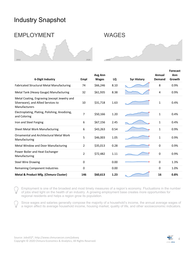#### Industry Snapshot

#### EMPLOYMENT WAGES





| 6-Digit Industry                                                                                     | Empl        | Avg Ann<br><b>Wages</b> | LQ   | <b>5yr History</b> | Annual<br>Demand | <b>Forecast</b><br>Ann<br>Growth |
|------------------------------------------------------------------------------------------------------|-------------|-------------------------|------|--------------------|------------------|----------------------------------|
| <b>Fabricated Structural Metal Manufacturing</b>                                                     | 74          | \$66,246                | 8.10 |                    | 8                | 0.9%                             |
| Metal Tank (Heavy Gauge) Manufacturing                                                               | 32          | \$61,935                | 8.38 |                    | 4                | 0.9%                             |
| Metal Coating, Engraving (except Jewelry and<br>Silverware), and Allied Services to<br>Manufacturers | 10          | \$31,718                | 1.63 |                    | $\mathbf{1}$     | 0.4%                             |
| Electroplating, Plating, Polishing, Anodizing,<br>and Coloring                                       | 7           | \$50,166                | 1.20 |                    | $\mathbf{1}$     | 0.4%                             |
| Iron and Steel Forging                                                                               | 6           | \$67,156                | 2.45 |                    | 1                | 0.4%                             |
| Sheet Metal Work Manufacturing                                                                       | 6           | \$43,263                | 0.54 |                    | 1                | 0.9%                             |
| Ornamental and Architectural Metal Work<br>Manufacturing                                             | 5           | \$46,003                | 1.05 |                    | 1                | 0.9%                             |
| Metal Window and Door Manufacturing                                                                  | 2           | \$35,013                | 0.28 |                    | 0                | 0.9%                             |
| Power Boiler and Heat Exchanger<br>Manufacturing                                                     | 2           | \$72,482                | 1.11 |                    | 0                | 0.9%                             |
| <b>Steel Wire Drawing</b>                                                                            | $\mathbf 0$ |                         | 0.00 |                    | 0                | 1.3%                             |
| <b>Remaining Component Industries</b>                                                                | 0           |                         | 0.00 |                    | 0                | 1.0%                             |
| Metal & Product Mfg. (Chmura Cluster)                                                                | 146         | \$60,613                | 1.23 |                    | 16               | 0.8%                             |

Employment is one of the broadest and most timely measures of a region's economy. Fluctuations in the number of jobs shed light on the health of an industry. A growing employment base creates more opportunities for regional residents and helps a region grow its population.

Since wages and salaries generally compose the majority of a household's income, the annual average wages of a region affect its average household income, housing market, quality of life, and other socioeconomic indicators.

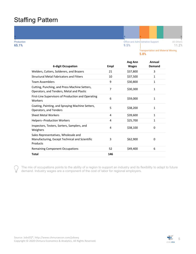#### Staffing Pattern

Production 65.1%



|                                                                                                    |      | Avg Ann      | Annual        |
|----------------------------------------------------------------------------------------------------|------|--------------|---------------|
| <b>6-digit Occupation</b>                                                                          | Empl | <b>Wages</b> | <b>Demand</b> |
| Welders, Cutters, Solderers, and Brazers                                                           | 21   | \$37,800     | 3             |
| <b>Structural Metal Fabricators and Fitters</b>                                                    | 10   | \$37,500     | $\mathbf{1}$  |
| <b>Team Assemblers</b>                                                                             | 9    | \$30,800     | $\mathbf{1}$  |
| Cutting, Punching, and Press Machine Setters,<br>Operators, and Tenders, Metal and Plastic         | 7    | \$30,300     | 1             |
| First-Line Supervisors of Production and Operating<br>Workers                                      | 6    | \$59,000     | 1             |
| Coating, Painting, and Spraying Machine Setters,<br>Operators, and Tenders                         | 5    | \$38,200     | 1             |
| <b>Sheet Metal Workers</b>                                                                         | 4    | \$39,600     | $\mathbf{1}$  |
| <b>Helpers--Production Workers</b>                                                                 | 4    | \$25,700     | 1             |
| Inspectors, Testers, Sorters, Samplers, and<br>Weighers                                            | 4    | \$38,100     | 0             |
| Sales Representatives, Wholesale and<br>Manufacturing, Except Technical and Scientific<br>Products | 3    | \$62,900     | 0             |
| <b>Remaining Component Occupations</b>                                                             | 52   | \$49,400     | 6             |
| <b>Total</b>                                                                                       | 146  |              |               |

The mix of occupations points to the ability of a region to support an industry and its flexibility to adapt to future demand. Industry wages are a component of the cost of labor for regional employers.

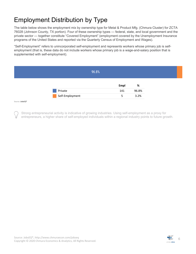### Employment Distribution by Type

The table below shows the employment mix by ownership type for Metal & Product Mfg. (Chmura Cluster) for ZCTA 76028 (Johnson County, TX portion). Four of these ownership types — federal, state, and local government and the private sector — together constitute "Covered Employment" (employment covered by the Unemployment Insurance programs of the United States and reported via the Quarterly Census of Employment and Wages).

"Self-Employment" refers to unincorporated self-employment and represents workers whose primary job is selfemployment (that is, these data do not include workers whose primary job is a wage-and-salary position that is supplemented with self-employment).

|         | 96.8%           |             |       |
|---------|-----------------|-------------|-------|
|         |                 | <b>Empl</b> | %     |
|         | Private         | 141         | 96.8% |
|         | Self-Employment | 5           | 3.2%  |
| $C = 1$ |                 |             |       |

Source: JobsEQ®

Strong entrepreneurial activity is indicative of growing industries. Using self-employment as a proxy for entrepreneurs, a higher share of self-employed individuals within a regional industry points to future growth.

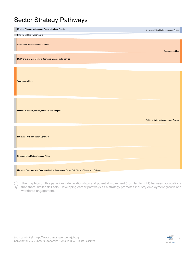#### Sector Strategy Pathways

| Molders, Shapers, and Casters, Except Metal and Plastic                                              | Structural Metal Fabricators and Fitters |
|------------------------------------------------------------------------------------------------------|------------------------------------------|
| Foundry Mold and Coremakers                                                                          |                                          |
| Assemblers and Fabricators, All Other                                                                | <b>Team Assemblers</b>                   |
| Mail Clerks and Mail Machine Operators, Except Postal Service                                        |                                          |
| <b>Team Assemblers</b>                                                                               |                                          |
| Inspectors, Testers, Sorters, Samplers, and Weighers                                                 | Welders, Cutters, Solderers, and Brazers |
| Industrial Truck and Tractor Operators                                                               |                                          |
| <b>Structural Metal Fabricators and Fitters</b>                                                      |                                          |
| Electrical, Electronic, and Electromechanical Assemblers, Except Coil Winders, Tapers, and Finishers |                                          |

The graphics on this page illustrate relationships and potential movement (from left to right) between occupations that share similar skill sets. Developing career pathways as a strategy promotes industry employment growth and workforce engagement.

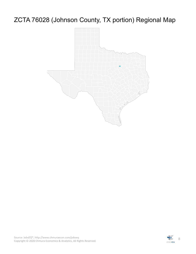## ZCTA 76028 (Johnson County, TX portion) Regional Map



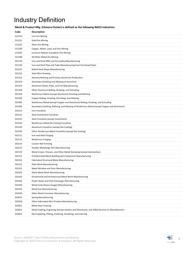## Industry Definition

| Metal & Product Mfg. (Chmura Cluster) is defined as the following NAICS industries: |  |  |
|-------------------------------------------------------------------------------------|--|--|
|                                                                                     |  |  |

| Code   | <b>Description</b>                                                                             |
|--------|------------------------------------------------------------------------------------------------|
| 212210 | Iron Ore Mining                                                                                |
| 212221 | <b>Gold Ore Mining</b>                                                                         |
| 212222 | <b>Silver Ore Mining</b>                                                                       |
| 212230 | Copper, Nickel, Lead, and Zinc Mining                                                          |
| 212291 | Uranium-Radium-Vanadium Ore Mining                                                             |
| 212299 | All Other Metal Ore Mining                                                                     |
| 331110 | Iron and Steel Mills and Ferroalloy Manufacturing                                              |
| 331210 | Iron and Steel Pipe and Tube Manufacturing from Purchased Steel                                |
| 331221 | Rolled Steel Shape Manufacturing                                                               |
| 331222 | <b>Steel Wire Drawing</b>                                                                      |
| 331313 | Alumina Refining and Primary Aluminum Production                                               |
| 331314 | Secondary Smelting and Alloying of Aluminum                                                    |
| 331315 | Aluminum Sheet, Plate, and Foil Manufacturing                                                  |
| 331318 | Other Aluminum Rolling, Drawing, and Extruding                                                 |
| 331410 | Nonferrous Metal (except Aluminum) Smelting and Refining                                       |
| 331420 | Copper Rolling, Drawing, Extruding, and Alloying                                               |
| 331491 | Nonferrous Metal (except Copper and Aluminum) Rolling, Drawing, and Extruding                  |
| 331492 | Secondary Smelting, Refining, and Alloying of Nonferrous Metal (except Copper and Aluminum)    |
| 331511 | Iron Foundries                                                                                 |
| 331512 | Steel Investment Foundries                                                                     |
| 331513 | Steel Foundries (except Investment)                                                            |
| 331523 | Nonferrous Metal Die-Casting Foundries                                                         |
| 331524 | Aluminum Foundries (except Die-Casting)                                                        |
| 331529 | Other Nonferrous Metal Foundries (except Die-Casting)                                          |
| 332111 | Iron and Steel Forging                                                                         |
| 332112 | Nonferrous Forging                                                                             |
| 332114 | <b>Custom Roll Forming</b>                                                                     |
| 332117 | Powder Metallurgy Part Manufacturing                                                           |
| 332119 | Metal Crown, Closure, and Other Metal Stamping (except Automotive)                             |
| 332311 | Prefabricated Metal Building and Component Manufacturing                                       |
| 332312 | <b>Fabricated Structural Metal Manufacturing</b>                                               |
| 332313 | <b>Plate Work Manufacturing</b>                                                                |
| 332321 | Metal Window and Door Manufacturing                                                            |
| 332322 | Sheet Metal Work Manufacturing                                                                 |
| 332323 | Ornamental and Architectural Metal Work Manufacturing                                          |
| 332410 | Power Boiler and Heat Exchanger Manufacturing                                                  |
| 332420 | Metal Tank (Heavy Gauge) Manufacturing                                                         |
| 332431 | <b>Metal Can Manufacturing</b>                                                                 |
| 332439 | <b>Other Metal Container Manufacturing</b>                                                     |
| 332613 | <b>Spring Manufacturing</b>                                                                    |
| 332618 | Other Fabricated Wire Product Manufacturing                                                    |
| 332811 | <b>Metal Heat Treating</b>                                                                     |
| 332812 | Metal Coating, Engraving (except Jewelry and Silverware), and Allied Services to Manufacturers |
| 332813 | Electroplating, Plating, Polishing, Anodizing, and Coloring                                    |